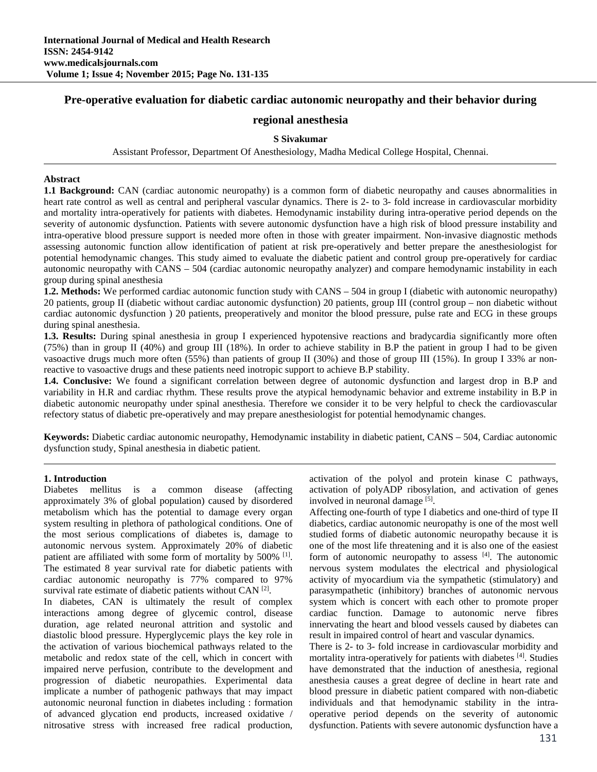# **Pre-operative evaluation for diabetic cardiac autonomic neuropathy and their behavior during**

# **regional anesthesia**

## **S Sivakumar**

Assistant Professor, Department Of Anesthesiology, Madha Medical College Hospital, Chennai.

#### **Abstract**

**1.1 Background:** CAN (cardiac autonomic neuropathy) is a common form of diabetic neuropathy and causes abnormalities in heart rate control as well as central and peripheral vascular dynamics. There is 2- to 3- fold increase in cardiovascular morbidity and mortality intra-operatively for patients with diabetes. Hemodynamic instability during intra-operative period depends on the severity of autonomic dysfunction. Patients with severe autonomic dysfunction have a high risk of blood pressure instability and intra-operative blood pressure support is needed more often in those with greater impairment. Non-invasive diagnostic methods assessing autonomic function allow identification of patient at risk pre-operatively and better prepare the anesthesiologist for potential hemodynamic changes. This study aimed to evaluate the diabetic patient and control group pre-operatively for cardiac autonomic neuropathy with CANS – 504 (cardiac autonomic neuropathy analyzer) and compare hemodynamic instability in each group during spinal anesthesia

**1.2. Methods:** We performed cardiac autonomic function study with CANS – 504 in group I (diabetic with autonomic neuropathy) 20 patients, group II (diabetic without cardiac autonomic dysfunction) 20 patients, group III (control group – non diabetic without cardiac autonomic dysfunction ) 20 patients, preoperatively and monitor the blood pressure, pulse rate and ECG in these groups during spinal anesthesia.

**1.3. Results:** During spinal anesthesia in group I experienced hypotensive reactions and bradycardia significantly more often (75%) than in group II (40%) and group III (18%). In order to achieve stability in B.P the patient in group I had to be given vasoactive drugs much more often (55%) than patients of group II (30%) and those of group III (15%). In group I 33% ar nonreactive to vasoactive drugs and these patients need inotropic support to achieve B.P stability.

**1.4. Conclusive:** We found a significant correlation between degree of autonomic dysfunction and largest drop in B.P and variability in H.R and cardiac rhythm. These results prove the atypical hemodynamic behavior and extreme instability in B.P in diabetic autonomic neuropathy under spinal anesthesia. Therefore we consider it to be very helpful to check the cardiovascular refectory status of diabetic pre-operatively and may prepare anesthesiologist for potential hemodynamic changes.

**Keywords:** Diabetic cardiac autonomic neuropathy, Hemodynamic instability in diabetic patient, CANS – 504, Cardiac autonomic dysfunction study, Spinal anesthesia in diabetic patient.

#### **1. Introduction**

Diabetes mellitus is a common disease (affecting approximately 3% of global population) caused by disordered metabolism which has the potential to damage every organ system resulting in plethora of pathological conditions. One of the most serious complications of diabetes is, damage to autonomic nervous system. Approximately 20% of diabetic patient are affiliated with some form of mortality by 500% <sup>[1]</sup>. The estimated 8 year survival rate for diabetic patients with cardiac autonomic neuropathy is 77% compared to 97% survival rate estimate of diabetic patients without CAN<sup>[2]</sup>.

In diabetes, CAN is ultimately the result of complex interactions among degree of glycemic control, disease duration, age related neuronal attrition and systolic and diastolic blood pressure. Hyperglycemic plays the key role in the activation of various biochemical pathways related to the metabolic and redox state of the cell, which in concert with impaired nerve perfusion, contribute to the development and progression of diabetic neuropathies. Experimental data implicate a number of pathogenic pathways that may impact autonomic neuronal function in diabetes including : formation of advanced glycation end products, increased oxidative / nitrosative stress with increased free radical production, activation of the polyol and protein kinase C pathways, activation of polyADP ribosylation, and activation of genes involved in neuronal damage [5].

Affecting one-fourth of type I diabetics and one-third of type II diabetics, cardiac autonomic neuropathy is one of the most well studied forms of diabetic autonomic neuropathy because it is one of the most life threatening and it is also one of the easiest form of autonomic neuropathy to assess  $[4]$ . The autonomic nervous system modulates the electrical and physiological activity of myocardium via the sympathetic (stimulatory) and parasympathetic (inhibitory) branches of autonomic nervous system which is concert with each other to promote proper cardiac function. Damage to autonomic nerve fibres innervating the heart and blood vessels caused by diabetes can result in impaired control of heart and vascular dynamics.

There is 2- to 3- fold increase in cardiovascular morbidity and mortality intra-operatively for patients with diabetes [4]. Studies have demonstrated that the induction of anesthesia, regional anesthesia causes a great degree of decline in heart rate and blood pressure in diabetic patient compared with non-diabetic individuals and that hemodynamic stability in the intraoperative period depends on the severity of autonomic dysfunction. Patients with severe autonomic dysfunction have a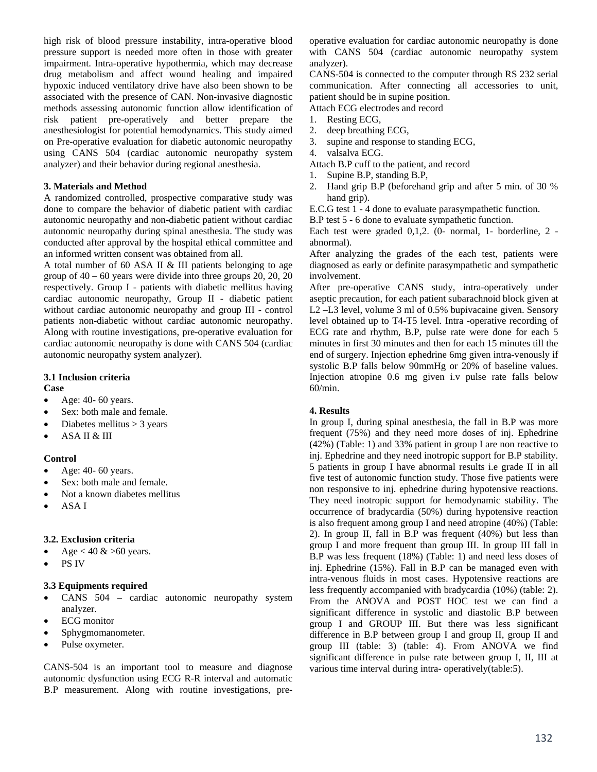high risk of blood pressure instability, intra-operative blood pressure support is needed more often in those with greater impairment. Intra-operative hypothermia, which may decrease drug metabolism and affect wound healing and impaired hypoxic induced ventilatory drive have also been shown to be associated with the presence of CAN. Non-invasive diagnostic methods assessing autonomic function allow identification of risk patient pre-operatively and better prepare the anesthesiologist for potential hemodynamics. This study aimed on Pre-operative evaluation for diabetic autonomic neuropathy using CANS 504 (cardiac autonomic neuropathy system analyzer) and their behavior during regional anesthesia.

#### **3. Materials and Method**

A randomized controlled, prospective comparative study was done to compare the behavior of diabetic patient with cardiac autonomic neuropathy and non-diabetic patient without cardiac autonomic neuropathy during spinal anesthesia. The study was conducted after approval by the hospital ethical committee and an informed written consent was obtained from all.

A total number of 60 ASA II & III patients belonging to age group of  $40 - 60$  years were divide into three groups  $20$ ,  $20$ ,  $20$ respectively. Group I - patients with diabetic mellitus having cardiac autonomic neuropathy, Group II - diabetic patient without cardiac autonomic neuropathy and group III - control patients non-diabetic without cardiac autonomic neuropathy. Along with routine investigations, pre-operative evaluation for cardiac autonomic neuropathy is done with CANS 504 (cardiac autonomic neuropathy system analyzer).

#### **3.1 Inclusion criteria**

#### **Case**

- $\bullet$  Age: 40- 60 years.
- Sex: both male and female.
- $\bullet$  Diabetes mellitus > 3 years
- ASA II & III

## **Control**

- $\bullet$  Age: 40- 60 years.
- Sex: both male and female.
- Not a known diabetes mellitus
- ASA I

## **3.2. Exclusion criteria**

- Age < 40  $&$  >60 years.
- PS IV

## **3.3 Equipments required**

- CANS 504 cardiac autonomic neuropathy system analyzer.
- ECG monitor
- Sphygmomanometer.
- Pulse oxymeter.

CANS-504 is an important tool to measure and diagnose autonomic dysfunction using ECG R-R interval and automatic B.P measurement. Along with routine investigations, preoperative evaluation for cardiac autonomic neuropathy is done with CANS 504 (cardiac autonomic neuropathy system analyzer).

CANS-504 is connected to the computer through RS 232 serial communication. After connecting all accessories to unit, patient should be in supine position. Attach ECG electrodes and record

1. Resting ECG,

- 2. deep breathing ECG,
- 3. supine and response to standing ECG,
- 4. valsalva ECG.

Attach B.P cuff to the patient, and record

- 1. Supine B.P, standing B.P,
- 2. Hand grip B.P (beforehand grip and after 5 min. of 30 % hand grip).

E.C.G test 1 - 4 done to evaluate parasympathetic function.

B.P test 5 - 6 done to evaluate sympathetic function.

Each test were graded 0,1,2. (0- normal, 1- borderline, 2 abnormal).

After analyzing the grades of the each test, patients were diagnosed as early or definite parasympathetic and sympathetic involvement.

After pre-operative CANS study, intra-operatively under aseptic precaution, for each patient subarachnoid block given at L2 –L3 level, volume 3 ml of 0.5% bupivacaine given. Sensory level obtained up to T4-T5 level. Intra -operative recording of ECG rate and rhythm, B.P, pulse rate were done for each 5 minutes in first 30 minutes and then for each 15 minutes till the end of surgery. Injection ephedrine 6mg given intra-venously if systolic B.P falls below 90mmHg or 20% of baseline values. Injection atropine 0.6 mg given i.v pulse rate falls below 60/min.

## **4. Results**

In group I, during spinal anesthesia, the fall in B.P was more frequent (75%) and they need more doses of inj. Ephedrine (42%) (Table: 1) and 33% patient in group I are non reactive to inj. Ephedrine and they need inotropic support for B.P stability. 5 patients in group I have abnormal results i.e grade II in all five test of autonomic function study. Those five patients were non responsive to inj. ephedrine during hypotensive reactions. They need inotropic support for hemodynamic stability. The occurrence of bradycardia (50%) during hypotensive reaction is also frequent among group I and need atropine (40%) (Table: 2). In group II, fall in B.P was frequent (40%) but less than group I and more frequent than group III. In group III fall in B.P was less frequent (18%) (Table: 1) and need less doses of inj. Ephedrine (15%). Fall in B.P can be managed even with intra-venous fluids in most cases. Hypotensive reactions are less frequently accompanied with bradycardia (10%) (table: 2). From the ANOVA and POST HOC test we can find a significant difference in systolic and diastolic B.P between group I and GROUP III. But there was less significant difference in B.P between group I and group II, group II and group III (table: 3) (table: 4). From ANOVA we find significant difference in pulse rate between group I, II, III at various time interval during intra- operatively(table:5).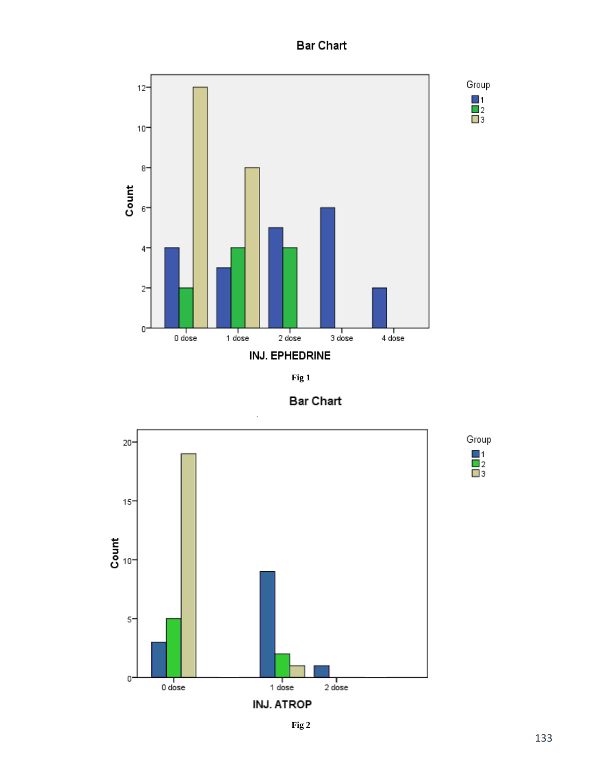# **Bar Chart**

 $\begin{array}{c}\n1 \\
2 \\
3\n\end{array}$ 









**Fig 2**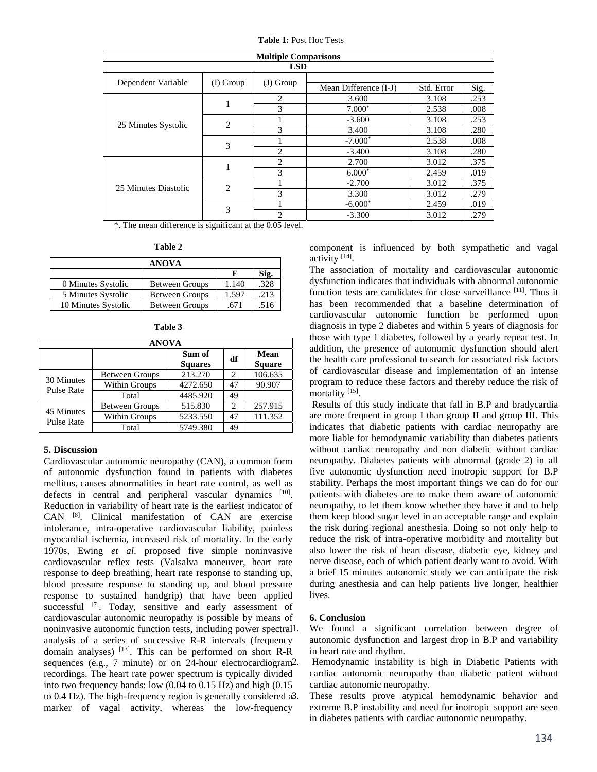**Table 1:** Post Hoc Tests

| <b>Multiple Comparisons</b> |                |                |                       |            |      |  |
|-----------------------------|----------------|----------------|-----------------------|------------|------|--|
| <b>LSD</b>                  |                |                |                       |            |      |  |
| Dependent Variable          | $(I)$ Group    | $(J)$ Group    |                       |            |      |  |
|                             |                |                | Mean Difference (I-J) | Std. Error | Sig. |  |
| 25 Minutes Systolic         | 1              | $\mathfrak{D}$ | 3.600                 | 3.108      | .253 |  |
|                             |                | 3              | $7.000*$              | 2.538      | .008 |  |
|                             | $\overline{c}$ |                | $-3.600$              | 3.108      | .253 |  |
|                             |                | 3              | 3.400                 | 3.108      | .280 |  |
|                             | 3              |                | $-7.000*$             | 2.538      | .008 |  |
|                             |                | $\mathfrak{D}$ | $-3.400$              | 3.108      | .280 |  |
| 25 Minutes Diastolic        | 1              | $\mathcal{L}$  | 2.700                 | 3.012      | .375 |  |
|                             |                | 3              | $6.000*$              | 2.459      | .019 |  |
|                             | $\overline{c}$ |                | $-2.700$              | 3.012      | .375 |  |
|                             |                | 3              | 3.300                 | 3.012      | .279 |  |
|                             | 3              |                | $-6.000*$             | 2.459      | .019 |  |
|                             |                | 2              | $-3.300$              | 3.012      | .279 |  |

\*. The mean difference is significant at the 0.05 level.

| anı<br>٦.<br>4 |  |
|----------------|--|
|----------------|--|

| <b>ANOVA</b>        |                       |       |      |  |
|---------------------|-----------------------|-------|------|--|
|                     |                       |       | Sig. |  |
| 0 Minutes Systolic  | <b>Between Groups</b> | 1.140 | .328 |  |
| 5 Minutes Systolic  | <b>Between Groups</b> | 1.597 | .213 |  |
| 10 Minutes Systolic | <b>Between Groups</b> | .671  | .516 |  |

| <b>ANOVA</b>                    |                       |                          |    |                       |  |
|---------------------------------|-----------------------|--------------------------|----|-----------------------|--|
|                                 |                       | Sum of<br><b>Squares</b> | df | Mean<br><b>Square</b> |  |
| 30 Minutes<br><b>Pulse Rate</b> | <b>Between Groups</b> | 213.270                  | 2  | 106.635               |  |
|                                 | Within Groups         | 4272.650                 | 47 | 90.907                |  |
|                                 | Total                 | 4485.920                 | 49 |                       |  |
| 45 Minutes<br><b>Pulse Rate</b> | <b>Between Groups</b> | 515.830                  | 2  | 257.915               |  |
|                                 | Within Groups         | 5233.550                 | 47 | 111.352               |  |
|                                 | Total                 | 5749.380                 | 49 |                       |  |

| l'able |  |
|--------|--|
|--------|--|

## **5. Discussion**

Cardiovascular autonomic neuropathy (CAN), a common form of autonomic dysfunction found in patients with diabetes mellitus, causes abnormalities in heart rate control, as well as defects in central and peripheral vascular dynamics [10]. Reduction in variability of heart rate is the earliest indicator of CAN [8]. Clinical manifestation of CAN are exercise intolerance, intra-operative cardiovascular liability, painless myocardial ischemia, increased risk of mortality. In the early 1970s, Ewing *et al*. proposed five simple noninvasive cardiovascular reflex tests (Valsalva maneuver, heart rate response to deep breathing, heart rate response to standing up, blood pressure response to standing up, and blood pressure response to sustained handgrip) that have been applied successful [7]. Today, sensitive and early assessment of cardiovascular autonomic neuropathy is possible by means of noninvasive autonomic function tests, including power spectral analysis of a series of successive R-R intervals (frequency domain analyses) [13]. This can be performed on short R-R sequences (e.g., 7 minute) or on 24-hour electrocardiogram<sup>2</sup>. recordings. The heart rate power spectrum is typically divided into two frequency bands: low (0.04 to 0.15 Hz) and high (0.15 to 0.4 Hz). The high-frequency region is generally considered a marker of vagal activity, whereas the low-frequency

component is influenced by both sympathetic and vagal activity [14].

The association of mortality and cardiovascular autonomic dysfunction indicates that individuals with abnormal autonomic function tests are candidates for close surveillance [11]. Thus it has been recommended that a baseline determination of cardiovascular autonomic function be performed upon diagnosis in type 2 diabetes and within 5 years of diagnosis for those with type 1 diabetes, followed by a yearly repeat test. In addition, the presence of autonomic dysfunction should alert the health care professional to search for associated risk factors of cardiovascular disease and implementation of an intense program to reduce these factors and thereby reduce the risk of mortality [15].

 Results of this study indicate that fall in B.P and bradycardia are more frequent in group I than group II and group III. This indicates that diabetic patients with cardiac neuropathy are more liable for hemodynamic variability than diabetes patients without cardiac neuropathy and non diabetic without cardiac neuropathy. Diabetes patients with abnormal (grade 2) in all five autonomic dysfunction need inotropic support for B.P stability. Perhaps the most important things we can do for our patients with diabetes are to make them aware of autonomic neuropathy, to let them know whether they have it and to help them keep blood sugar level in an acceptable range and explain the risk during regional anesthesia. Doing so not only help to reduce the risk of intra-operative morbidity and mortality but also lower the risk of heart disease, diabetic eye, kidney and nerve disease, each of which patient dearly want to avoid. With a brief 15 minutes autonomic study we can anticipate the risk during anesthesia and can help patients live longer, healthier lives.

#### **6. Conclusion**

We found a significant correlation between degree of autonomic dysfunction and largest drop in B.P and variability in heart rate and rhythm.

Hemodynamic instability is high in Diabetic Patients with cardiac autonomic neuropathy than diabetic patient without cardiac autonomic neuropathy.

These results prove atypical hemodynamic behavior and extreme B.P instability and need for inotropic support are seen in diabetes patients with cardiac autonomic neuropathy.